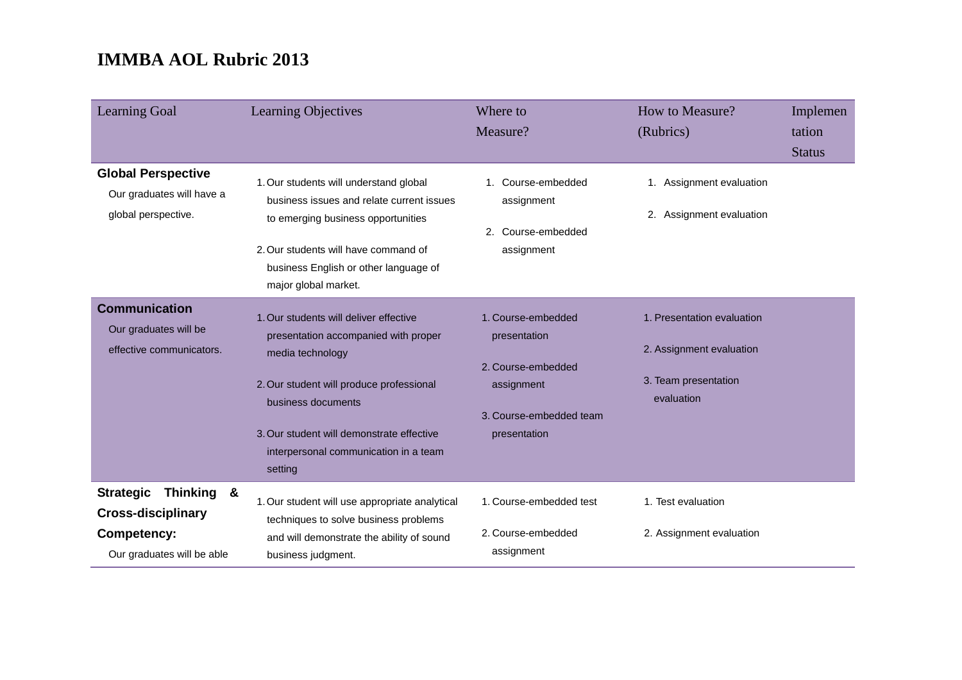| <b>Learning Goal</b>                                                                                            | Learning Objectives                                                                                                                                                                                                                                                   | Where to<br>Measure?                                                                                              | How to Measure?<br>(Rubrics)                                                                 | Implemen<br>tation<br><b>Status</b> |
|-----------------------------------------------------------------------------------------------------------------|-----------------------------------------------------------------------------------------------------------------------------------------------------------------------------------------------------------------------------------------------------------------------|-------------------------------------------------------------------------------------------------------------------|----------------------------------------------------------------------------------------------|-------------------------------------|
| <b>Global Perspective</b><br>Our graduates will have a<br>global perspective.                                   | 1. Our students will understand global<br>business issues and relate current issues<br>to emerging business opportunities<br>2. Our students will have command of<br>business English or other language of<br>major global market.                                    | 1. Course-embedded<br>assignment<br>2. Course-embedded<br>assignment                                              | 1. Assignment evaluation<br>2. Assignment evaluation                                         |                                     |
| <b>Communication</b><br>Our graduates will be<br>effective communicators.                                       | 1. Our students will deliver effective<br>presentation accompanied with proper<br>media technology<br>2. Our student will produce professional<br>business documents<br>3. Our student will demonstrate effective<br>interpersonal communication in a team<br>setting | 1. Course-embedded<br>presentation<br>2. Course-embedded<br>assignment<br>3. Course-embedded team<br>presentation | 1. Presentation evaluation<br>2. Assignment evaluation<br>3. Team presentation<br>evaluation |                                     |
| <b>Strategic</b><br>Thinking &<br><b>Cross-disciplinary</b><br><b>Competency:</b><br>Our graduates will be able | 1. Our student will use appropriate analytical<br>techniques to solve business problems<br>and will demonstrate the ability of sound<br>business judgment.                                                                                                            | 1. Course-embedded test<br>2. Course-embedded<br>assignment                                                       | 1. Test evaluation<br>2. Assignment evaluation                                               |                                     |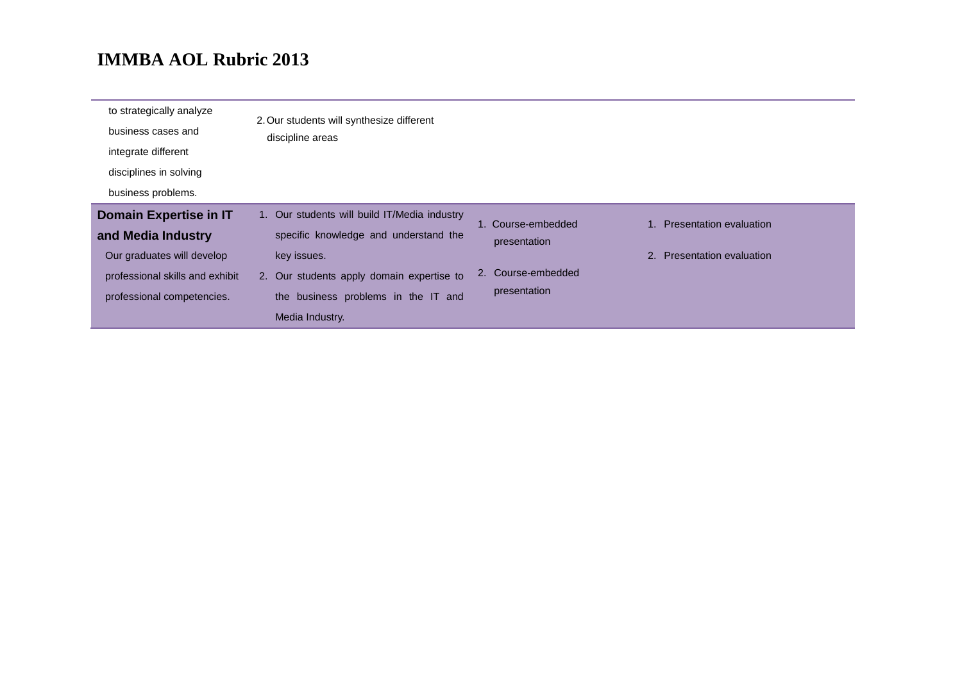| to strategically analyze<br>business cases and<br>integrate different | 2. Our students will synthesize different<br>discipline areas |                    |                            |
|-----------------------------------------------------------------------|---------------------------------------------------------------|--------------------|----------------------------|
| disciplines in solving                                                |                                                               |                    |                            |
| business problems.                                                    |                                                               |                    |                            |
| <b>Domain Expertise in IT</b>                                         | 1. Our students will build IT/Media industry                  | 1. Course-embedded | 1. Presentation evaluation |
| and Media Industry                                                    | specific knowledge and understand the                         | presentation       |                            |
| Our graduates will develop                                            | key issues.                                                   |                    | 2. Presentation evaluation |
| professional skills and exhibit                                       | 2. Our students apply domain expertise to                     | 2. Course-embedded |                            |
| professional competencies.                                            | the business problems in the IT and                           | presentation       |                            |
|                                                                       | Media Industry.                                               |                    |                            |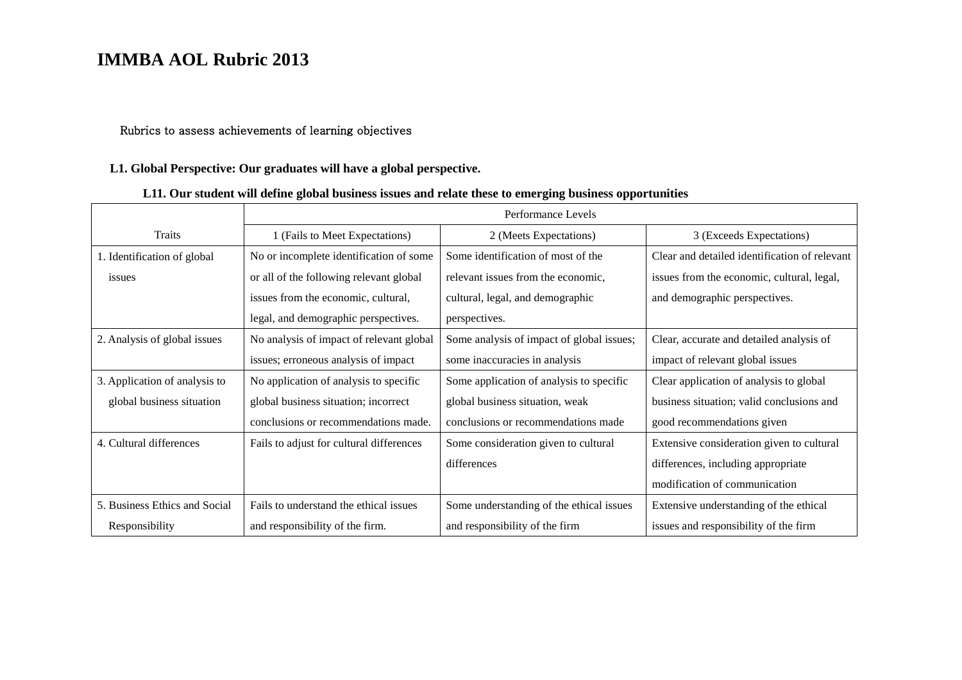#### Rubrics to assess achievements of learning objectives

#### **L1. Global Perspective: Our graduates will have a global perspective.**

### **L11. Our student will define global business issues and relate these to emerging business opportunities**

|                               | Performance Levels                       |                                           |                                               |
|-------------------------------|------------------------------------------|-------------------------------------------|-----------------------------------------------|
| Traits                        | 1 (Fails to Meet Expectations)           | 2 (Meets Expectations)                    | 3 (Exceeds Expectations)                      |
| 1. Identification of global   | No or incomplete identification of some  | Some identification of most of the        | Clear and detailed identification of relevant |
| issues                        | or all of the following relevant global  | relevant issues from the economic,        | issues from the economic, cultural, legal,    |
|                               | issues from the economic, cultural,      | cultural, legal, and demographic          | and demographic perspectives.                 |
|                               | legal, and demographic perspectives.     | perspectives.                             |                                               |
| 2. Analysis of global issues  | No analysis of impact of relevant global | Some analysis of impact of global issues; | Clear, accurate and detailed analysis of      |
|                               | issues; erroneous analysis of impact     | some inaccuracies in analysis             | impact of relevant global issues              |
| 3. Application of analysis to | No application of analysis to specific   | Some application of analysis to specific  | Clear application of analysis to global       |
| global business situation     | global business situation; incorrect     | global business situation, weak           | business situation; valid conclusions and     |
|                               | conclusions or recommendations made.     | conclusions or recommendations made       | good recommendations given                    |
| 4. Cultural differences       | Fails to adjust for cultural differences | Some consideration given to cultural      | Extensive consideration given to cultural     |
|                               |                                          | differences                               | differences, including appropriate            |
|                               |                                          |                                           | modification of communication                 |
| 5. Business Ethics and Social | Fails to understand the ethical issues   | Some understanding of the ethical issues  | Extensive understanding of the ethical        |
| Responsibility                | and responsibility of the firm.          | and responsibility of the firm            | issues and responsibility of the firm         |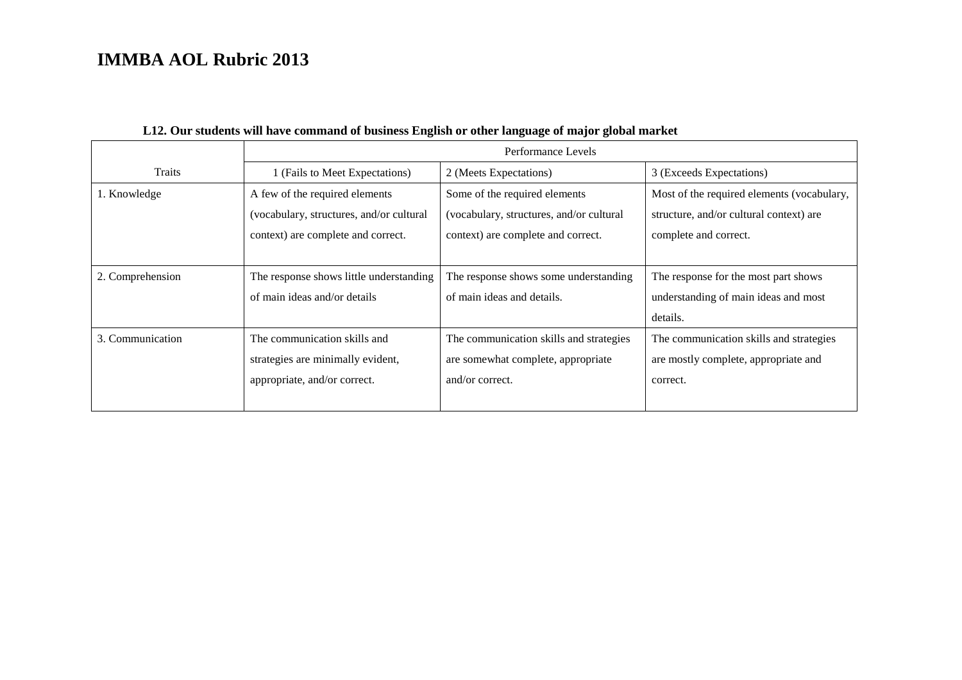|                  | Performance Levels                       |                                          |                                            |  |
|------------------|------------------------------------------|------------------------------------------|--------------------------------------------|--|
| Traits           | 1 (Fails to Meet Expectations)           | 2 (Meets Expectations)                   | 3 (Exceeds Expectations)                   |  |
| 1. Knowledge     | A few of the required elements           | Some of the required elements            | Most of the required elements (vocabulary, |  |
|                  | (vocabulary, structures, and/or cultural | (vocabulary, structures, and/or cultural | structure, and/or cultural context) are    |  |
|                  | context) are complete and correct.       | context) are complete and correct.       | complete and correct.                      |  |
|                  |                                          |                                          |                                            |  |
| 2. Comprehension | The response shows little understanding  | The response shows some understanding    | The response for the most part shows       |  |
|                  | of main ideas and/or details             | of main ideas and details.               | understanding of main ideas and most       |  |
|                  |                                          |                                          | details.                                   |  |
| 3. Communication | The communication skills and             | The communication skills and strategies  | The communication skills and strategies    |  |
|                  | strategies are minimally evident,        | are somewhat complete, appropriate       | are mostly complete, appropriate and       |  |
|                  | appropriate, and/or correct.             | and/or correct.                          | correct.                                   |  |
|                  |                                          |                                          |                                            |  |

### **L12. Our students will have command of business English or other language of major global market**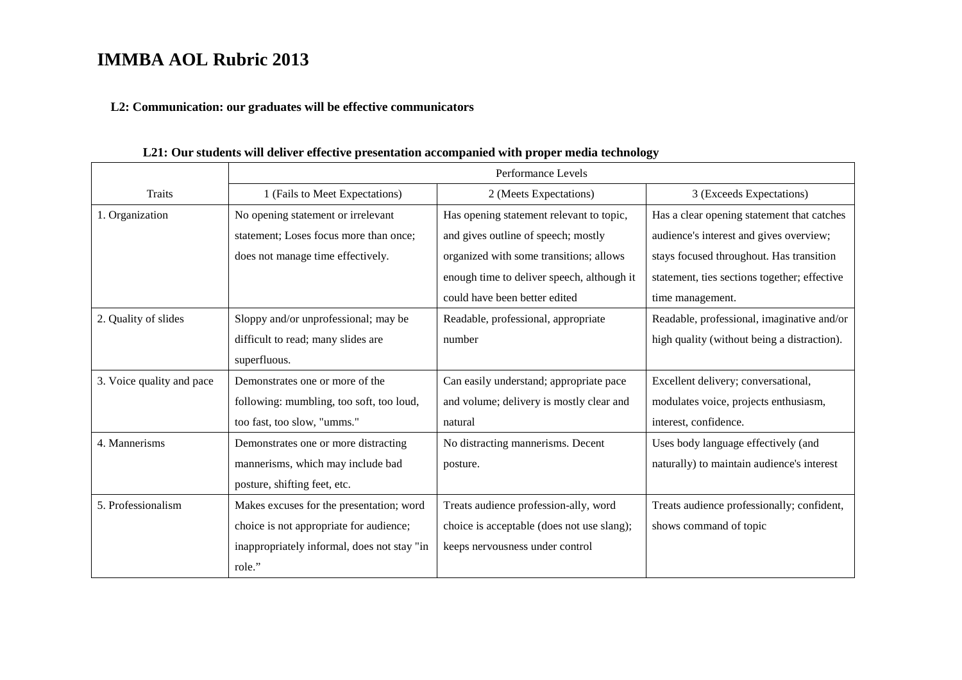#### **L2: Communication: our graduates will be effective communicators**

Traits Performance Levels 1 (Fails to Meet Expectations) 2 (Meets Expectations) 3 (Exceeds Expectations) 1. Organization No opening statement or irrelevant statement; Loses focus more than once; does not manage time effectively. Has opening statement relevant to topic, and gives outline of speech; mostly organized with some transitions; allows enough time to deliver speech, although it could have been better edited Has a clear opening statement that catches audience's interest and gives overview; stays focused throughout. Has transition statement, ties sections together; effective time management. 2. Quality of slides Sloppy and/or unprofessional; may be difficult to read; many slides are superfluous. Readable, professional, appropriate number Readable, professional, imaginative and/or high quality (without being a distraction). 3. Voice quality and pace Demonstrates one or more of the following: mumbling, too soft, too loud, too fast, too slow, "umms." Can easily understand; appropriate pace and volume; delivery is mostly clear and natural Excellent delivery; conversational, modulates voice, projects enthusiasm, interest, confidence. 4. Mannerisms Demonstrates one or more distracting mannerisms, which may include bad posture, shifting feet, etc. No distracting mannerisms. Decent posture. Uses body language effectively (and naturally) to maintain audience's interest 5. Professionalism Makes excuses for the presentation; word choice is not appropriate for audience; inappropriately informal, does not stay "in role." Treats audience profession-ally, word choice is acceptable (does not use slang); keeps nervousness under control Treats audience professionally; confident, shows command of topic

#### **L21: Our students will deliver effective presentation accompanied with proper media technology**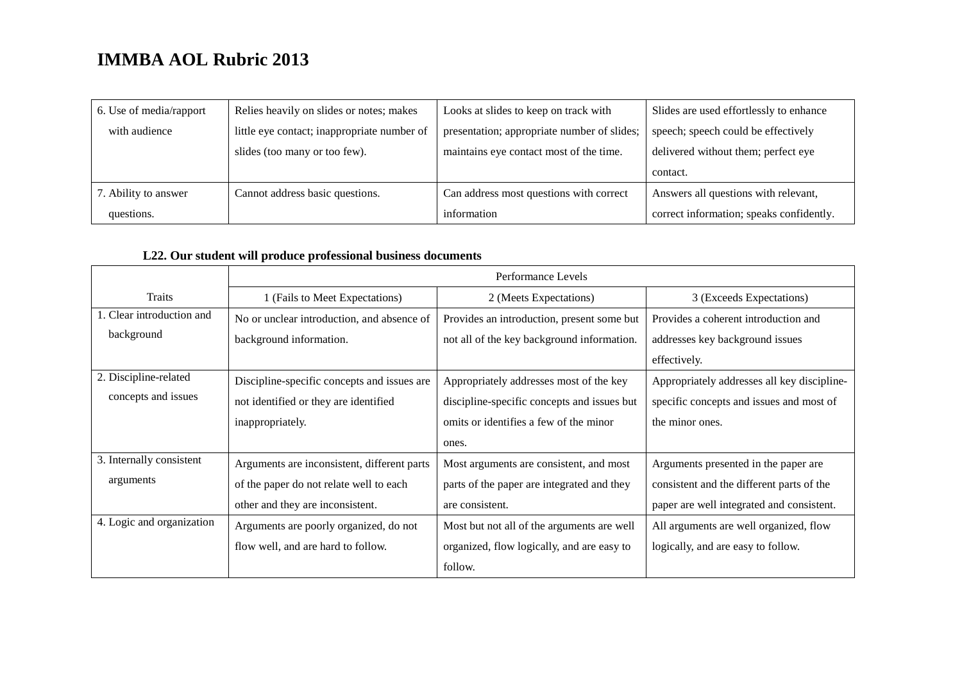| 6. Use of media/rapport | Relies heavily on slides or notes; makes    | Looks at slides to keep on track with       | Slides are used effortlessly to enhance  |
|-------------------------|---------------------------------------------|---------------------------------------------|------------------------------------------|
| with audience           | little eye contact; inappropriate number of | presentation; appropriate number of slides; | speech; speech could be effectively      |
|                         | slides (too many or too few).               | maintains eye contact most of the time.     | delivered without them; perfect eye      |
|                         |                                             |                                             | contact.                                 |
| 7. Ability to answer    | Cannot address basic questions.             | Can address most questions with correct     | Answers all questions with relevant,     |
| questions.              |                                             | information                                 | correct information; speaks confidently. |

### **L22. Our student will produce professional business documents**

|                           | Performance Levels                          |                                             |                                             |
|---------------------------|---------------------------------------------|---------------------------------------------|---------------------------------------------|
| <b>Traits</b>             | 1 (Fails to Meet Expectations)              | 2 (Meets Expectations)                      | 3 (Exceeds Expectations)                    |
| 1. Clear introduction and | No or unclear introduction, and absence of  | Provides an introduction, present some but  | Provides a coherent introduction and        |
| background                | background information.                     | not all of the key background information.  | addresses key background issues             |
|                           |                                             |                                             | effectively.                                |
| 2. Discipline-related     | Discipline-specific concepts and issues are | Appropriately addresses most of the key     | Appropriately addresses all key discipline- |
| concepts and issues       | not identified or they are identified       | discipline-specific concepts and issues but | specific concepts and issues and most of    |
|                           | inappropriately.                            | omits or identifies a few of the minor      | the minor ones.                             |
|                           |                                             | ones.                                       |                                             |
| 3. Internally consistent  | Arguments are inconsistent, different parts | Most arguments are consistent, and most     | Arguments presented in the paper are        |
| arguments                 | of the paper do not relate well to each     | parts of the paper are integrated and they  | consistent and the different parts of the   |
|                           | other and they are inconsistent.            | are consistent.                             | paper are well integrated and consistent.   |
| 4. Logic and organization | Arguments are poorly organized, do not      | Most but not all of the arguments are well  | All arguments are well organized, flow      |
|                           | flow well, and are hard to follow.          | organized, flow logically, and are easy to  | logically, and are easy to follow.          |
|                           |                                             | follow.                                     |                                             |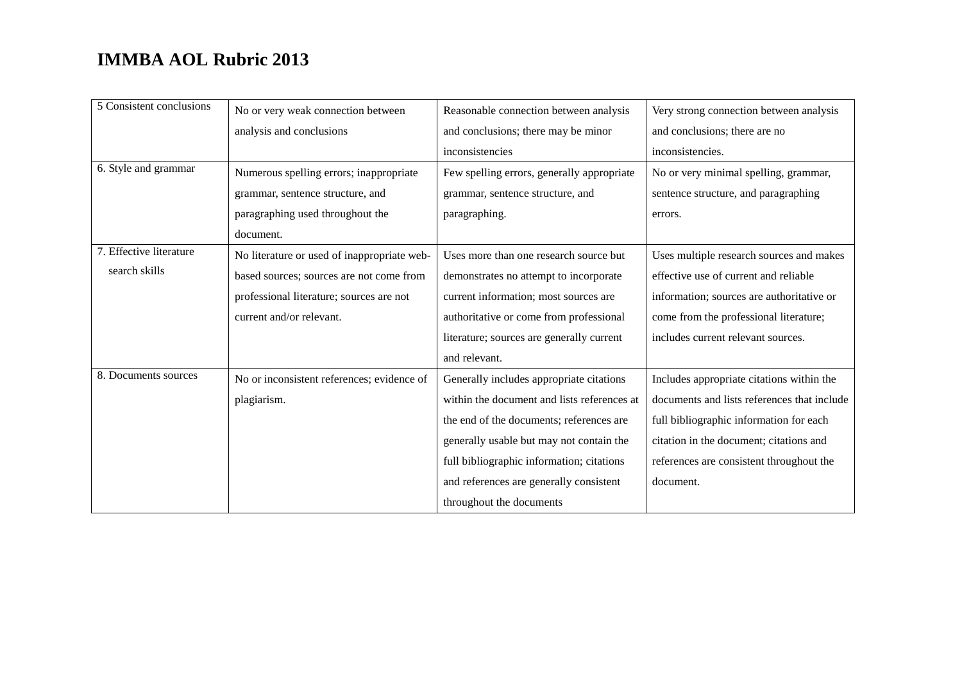| 5 Consistent conclusions | No or very weak connection between          | Reasonable connection between analysis      | Very strong connection between analysis     |
|--------------------------|---------------------------------------------|---------------------------------------------|---------------------------------------------|
|                          | analysis and conclusions                    | and conclusions; there may be minor         | and conclusions; there are no               |
|                          |                                             | inconsistencies                             | inconsistencies.                            |
| 6. Style and grammar     | Numerous spelling errors; inappropriate     | Few spelling errors, generally appropriate  | No or very minimal spelling, grammar,       |
|                          | grammar, sentence structure, and            | grammar, sentence structure, and            | sentence structure, and paragraphing        |
|                          | paragraphing used throughout the            | paragraphing.                               | errors.                                     |
|                          | document.                                   |                                             |                                             |
| 7. Effective literature  | No literature or used of inappropriate web- | Uses more than one research source but      | Uses multiple research sources and makes    |
| search skills            | based sources; sources are not come from    | demonstrates no attempt to incorporate      | effective use of current and reliable       |
|                          | professional literature; sources are not    | current information; most sources are       | information; sources are authoritative or   |
|                          | current and/or relevant.                    | authoritative or come from professional     | come from the professional literature;      |
|                          |                                             | literature; sources are generally current   | includes current relevant sources.          |
|                          |                                             | and relevant.                               |                                             |
| 8. Documents sources     | No or inconsistent references; evidence of  | Generally includes appropriate citations    | Includes appropriate citations within the   |
|                          | plagiarism.                                 | within the document and lists references at | documents and lists references that include |
|                          |                                             | the end of the documents; references are    | full bibliographic information for each     |
|                          |                                             | generally usable but may not contain the    | citation in the document; citations and     |
|                          |                                             | full bibliographic information; citations   | references are consistent throughout the    |
|                          |                                             | and references are generally consistent     | document.                                   |
|                          |                                             | throughout the documents                    |                                             |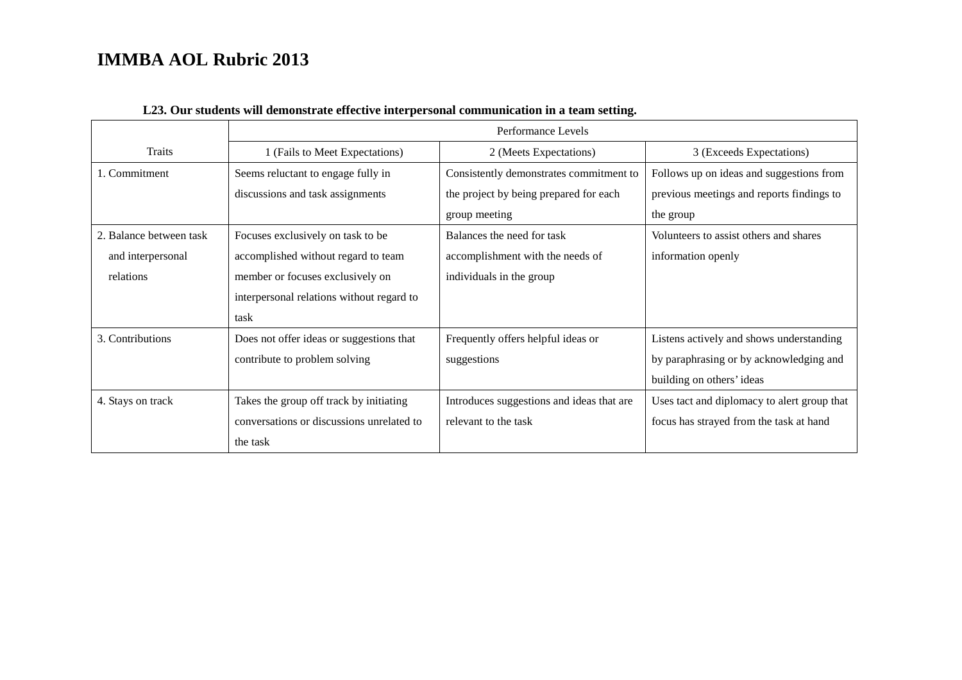|                         | Performance Levels                        |                                           |                                             |
|-------------------------|-------------------------------------------|-------------------------------------------|---------------------------------------------|
| Traits                  | 1 (Fails to Meet Expectations)            | 2 (Meets Expectations)                    | 3 (Exceeds Expectations)                    |
| 1. Commitment           | Seems reluctant to engage fully in        | Consistently demonstrates commitment to   | Follows up on ideas and suggestions from    |
|                         | discussions and task assignments          | the project by being prepared for each    | previous meetings and reports findings to   |
|                         |                                           | group meeting                             | the group                                   |
| 2. Balance between task | Focuses exclusively on task to be         | Balances the need for task                | Volunteers to assist others and shares      |
| and interpersonal       | accomplished without regard to team       | accomplishment with the needs of          | information openly                          |
| relations               | member or focuses exclusively on          | individuals in the group                  |                                             |
|                         | interpersonal relations without regard to |                                           |                                             |
|                         | task                                      |                                           |                                             |
| 3. Contributions        | Does not offer ideas or suggestions that  | Frequently offers helpful ideas or        | Listens actively and shows understanding    |
|                         | contribute to problem solving             | suggestions                               | by paraphrasing or by acknowledging and     |
|                         |                                           |                                           | building on others' ideas                   |
| 4. Stays on track       | Takes the group off track by initiating   | Introduces suggestions and ideas that are | Uses tact and diplomacy to alert group that |
|                         | conversations or discussions unrelated to | relevant to the task                      | focus has strayed from the task at hand     |
|                         | the task                                  |                                           |                                             |

### **L23. Our students will demonstrate effective interpersonal communication in a team setting.**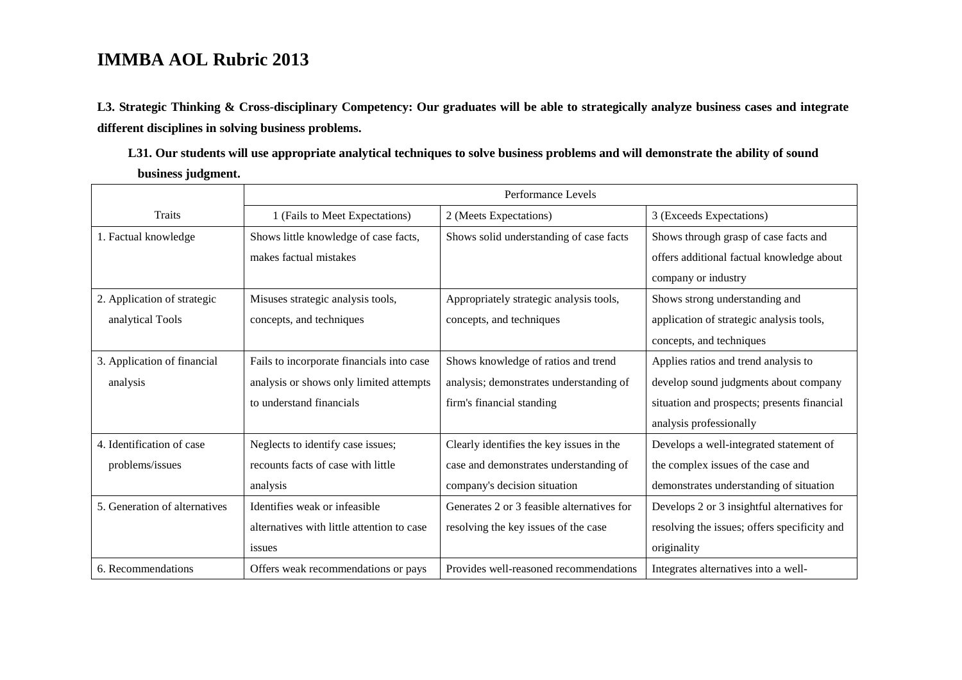**L3. Strategic Thinking & Cross-disciplinary Competency: Our graduates will be able to strategically analyze business cases and integrate different disciplines in solving business problems.** 

**L31. Our students will use appropriate analytical techniques to solve business problems and will demonstrate the ability of sound business judgment.**

|                               | Performance Levels                         |                                            |                                              |
|-------------------------------|--------------------------------------------|--------------------------------------------|----------------------------------------------|
| <b>Traits</b>                 | 1 (Fails to Meet Expectations)             | 2 (Meets Expectations)                     | 3 (Exceeds Expectations)                     |
| 1. Factual knowledge          | Shows little knowledge of case facts,      | Shows solid understanding of case facts    | Shows through grasp of case facts and        |
|                               | makes factual mistakes                     |                                            | offers additional factual knowledge about    |
|                               |                                            |                                            | company or industry                          |
| 2. Application of strategic   | Misuses strategic analysis tools,          | Appropriately strategic analysis tools,    | Shows strong understanding and               |
| analytical Tools              | concepts, and techniques                   | concepts, and techniques                   | application of strategic analysis tools,     |
|                               |                                            |                                            | concepts, and techniques                     |
| 3. Application of financial   | Fails to incorporate financials into case  | Shows knowledge of ratios and trend        | Applies ratios and trend analysis to         |
| analysis                      | analysis or shows only limited attempts    | analysis; demonstrates understanding of    | develop sound judgments about company        |
|                               | to understand financials                   | firm's financial standing                  | situation and prospects; presents financial  |
|                               |                                            |                                            | analysis professionally                      |
| 4. Identification of case     | Neglects to identify case issues;          | Clearly identifies the key issues in the   | Develops a well-integrated statement of      |
| problems/issues               | recounts facts of case with little         | case and demonstrates understanding of     | the complex issues of the case and           |
|                               | analysis                                   | company's decision situation               | demonstrates understanding of situation      |
| 5. Generation of alternatives | Identifies weak or infeasible.             | Generates 2 or 3 feasible alternatives for | Develops 2 or 3 insightful alternatives for  |
|                               | alternatives with little attention to case | resolving the key issues of the case       | resolving the issues; offers specificity and |
|                               | issues                                     |                                            | originality                                  |
| 6. Recommendations            | Offers weak recommendations or pays        | Provides well-reasoned recommendations     | Integrates alternatives into a well-         |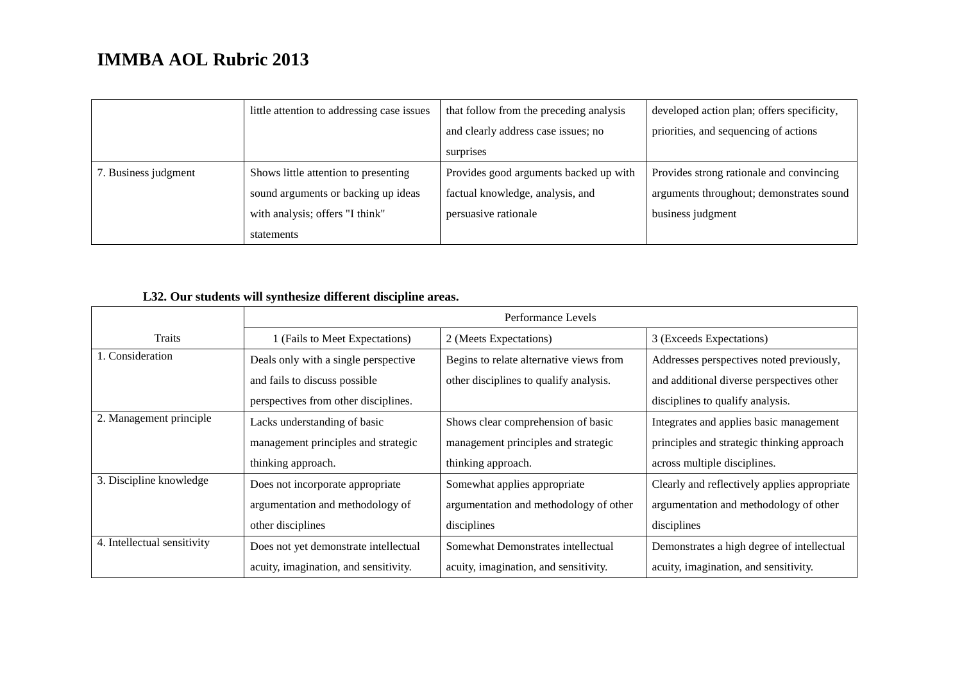|                      | little attention to addressing case issues | that follow from the preceding analysis | developed action plan; offers specificity, |
|----------------------|--------------------------------------------|-----------------------------------------|--------------------------------------------|
|                      |                                            | and clearly address case issues; no     | priorities, and sequencing of actions      |
|                      |                                            | surprises                               |                                            |
| 7. Business judgment | Shows little attention to presenting       | Provides good arguments backed up with  | Provides strong rationale and convincing   |
|                      | sound arguments or backing up ideas        | factual knowledge, analysis, and        | arguments throughout; demonstrates sound   |
|                      | with analysis; offers "I think"            | persuasive rationale                    | business judgment                          |
|                      | statements                                 |                                         |                                            |

### **L32. Our students will synthesize different discipline areas.**

|                             | Performance Levels                    |                                         |                                              |  |
|-----------------------------|---------------------------------------|-----------------------------------------|----------------------------------------------|--|
| <b>Traits</b>               | 1 (Fails to Meet Expectations)        | 2 (Meets Expectations)                  | 3 (Exceeds Expectations)                     |  |
| 1. Consideration            | Deals only with a single perspective  | Begins to relate alternative views from | Addresses perspectives noted previously,     |  |
|                             | and fails to discuss possible         | other disciplines to qualify analysis.  | and additional diverse perspectives other    |  |
|                             | perspectives from other disciplines.  |                                         | disciplines to qualify analysis.             |  |
| 2. Management principle     | Lacks understanding of basic          | Shows clear comprehension of basic      | Integrates and applies basic management      |  |
|                             | management principles and strategic   | management principles and strategic     | principles and strategic thinking approach   |  |
|                             | thinking approach.                    | thinking approach.                      | across multiple disciplines.                 |  |
| 3. Discipline knowledge     | Does not incorporate appropriate      | Somewhat applies appropriate            | Clearly and reflectively applies appropriate |  |
|                             | argumentation and methodology of      | argumentation and methodology of other  | argumentation and methodology of other       |  |
|                             | other disciplines                     | disciplines                             | disciplines                                  |  |
| 4. Intellectual sensitivity | Does not yet demonstrate intellectual | Somewhat Demonstrates intellectual      | Demonstrates a high degree of intellectual   |  |
|                             | acuity, imagination, and sensitivity. | acuity, imagination, and sensitivity.   | acuity, imagination, and sensitivity.        |  |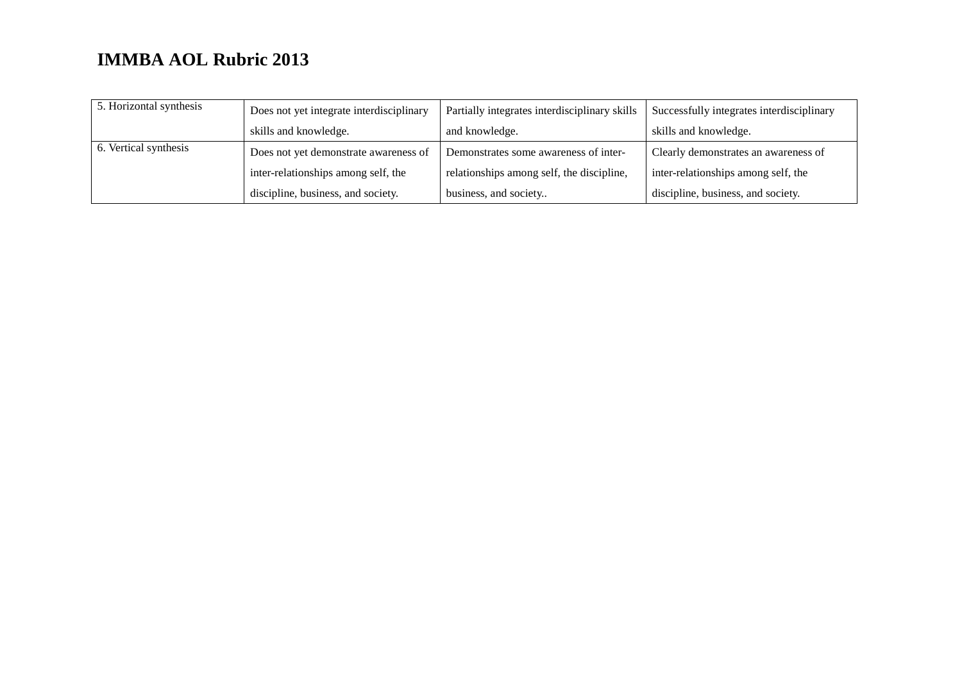| 5. Horizontal synthesis | Does not yet integrate interdisciplinary | Partially integrates interdisciplinary skills | Successfully integrates interdisciplinary |
|-------------------------|------------------------------------------|-----------------------------------------------|-------------------------------------------|
|                         | skills and knowledge.                    | and knowledge.                                | skills and knowledge.                     |
| 6. Vertical synthesis   | Does not yet demonstrate awareness of    | Demonstrates some awareness of inter-         | Clearly demonstrates an awareness of      |
|                         | inter-relationships among self, the      | relationships among self, the discipline,     | inter-relationships among self, the       |
|                         | discipline, business, and society.       | business, and society                         | discipline, business, and society.        |